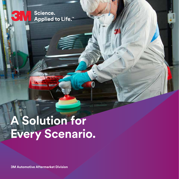Science. Applied to Life.<sup>™</sup>

3

# **A Solution for Every Scenario.**

**3M Automotive Aftermarket Division**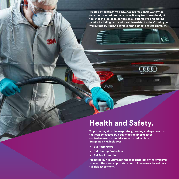**Trusted by automotive bodyshop professionals worldwide, our colour-coded products make it easy to choose the right tools for the job. Ideal for use on all automotive and marine paint – including hard and scratch-resistant – they'll help you work, step-by-step, to achieve that perfect showroom finish.** 

# **Health and Safety.**

**To protect against the respiratory, hearing and eye hazards that can be caused by bodyshop repair processes, control measures should always be put in place. Suggested PPE includes:**

**• 3M Respirators**

**MARKETING** 

**• 3M Hearing Protection**

 $A =$ 

**• 3M Eye Protection**

**Please note, it is ultimately the responsibility of the employer to select the most appropriate control measures, based on a full risk assessment.**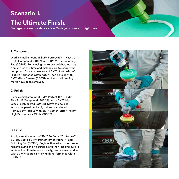### **Scenario 1.**

### **The Ultimate Finish.**

**3-stage process for dark cars // 2-stage process for light cars.**

#### **1. Compound**

Work a small amount of 3M™ Perfect-It™ III Fast Cut PLUS Compound (50417) into a 3M™ Compounding Pad (50487). Begin using the rotary polisher, working a small area at a time and making sure to reapply the compound for each new area. A 3M™ Scotch-Brite™ High Performance Cloth (60671) can be used with 3M™ Glass Cleaner (80631) to check if all sanding marks have been removed.

#### **2. Polish**

Place a small amount of 3M™ Perfect-It™ III Extra Fine PLUS Compound (80349) onto a 3M™ High Gloss Polishing Pad (50488). Move the polisher across the panel until a high shine is achieved. Remove any residue with 3M™ Scotch-Brite™ Yellow High Performance Cloth (60669).

#### **3. Finish**

Apply a small amount of 3M™ Perfect-It™ Ultrafina™ SE (50383) to a 3M™ Perfect-It™ Ultrafina™ Foam Polishing Pad (50388). Begin with medium pressure to remove swirls and holograms, and then less pressure to achieve the ultimate finish. Finally, remove any residue with a 3M™ Scotch-Brite™ High Performance Cloth (60670).

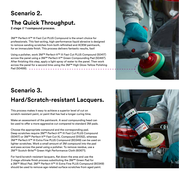# **Scenario 2.**

# **The Quick Throughput.**

**2 stage // 1 compound process.**

3M™ Perfect-It™ III Fast Cut PLUS Compound is the smart choice for professionals. This fast-acting, high-performance liquid abrasive is designed to remove sanding scratches from both refinished and AOEM paintwork, for an immaculate finish. This process delivers fantastic results, fast!

Using a polisher, work 3M™ Perfect-It™ III Fast Cut PLUS Compound (50417) across the panel using a 3M™ Perfect-It™ Green Compounding Pad (50487). After finishing this step, apply a light spray of water to the panel. Then work across the panel for a second time using the 3M™ High Gloss Yellow Polishing Pad (50488).



# **Scenario 3. Hard/Scratch-resistant Lacquers.**

This process makes it easy to achieve a superior level of cut on scratch-resistant paint, or paint that has had a longer curing time.

Make an assessment of the paintwork. A wool compounding head can be used to offer a more aggressive cut compared to standard 3M pads.

Choose the appropriate compound and the corresponding pad. Deep scratches require 3M™ Perfect-It™ III Fast Cut PLUS Compound (50417) or 3M™ Perfect-It™ Fast Cut XL Compound (51052), whereas 3M™ Perfect-It™ III Extra Fine PLUS Compound (80349) can be used on lighter scratches. Work a small amount of 3M compound into the pad and pass across the panel using a polisher. To remove residue, use a 3M™ Scotch-Brite™ Green High Performance Cloth (60671).

For hard/scratch-resistant lacquers, flat down the area and use the 3 stage ultimate finish process substituting the 3M™ Green Pad for a 3M™ Wool Pad. 3M™ Perfect-It™ III Extra Fine PLUS Compound (80349) should be used to remove age-related surface scratches from aged paint.

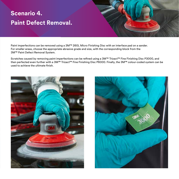# **Scenario 4. Paint Defect Removal.**

Paint imperfections can be removed using a 3M™ 260L Micro Finishing Disc with an interface pad on a sander. For smaller areas, choose the appropriate abrasive grade and size, with the corresponding block from the 3M™ Paint Defect Removal System.

Scratches caused by removing paint imperfections can be refined using a 3M™ Trizact™ Fine Finishing Disc P3000, and then perfected even further with a 3M™ Trizact™ Fine Finishing Disc P6000. Finally, the 3M™ colour-coded system can be used to achieve the ultimate finish.



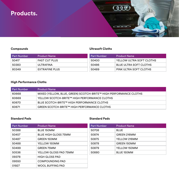### **Products.**

### **Compounds**

### **Ultrasoft Cloths**

**COD** 

| <b>Part Number</b> | <b>Product Name</b>  | <b>Part Number</b> | <b>Product Name</b>      |
|--------------------|----------------------|--------------------|--------------------------|
| 50417              | <b>FAST CUT PLUS</b> | 50400              | YELLOW ULTRA SOFT CLOTHS |
| 50383              | ULTRAFINA            | 50486              | BLUE ULTRA SOFT CLOTHS   |
| 80349              | EXTRAFINE PLUS       | 50489              | PINK ULTRA SOFT CLOTHS   |

### **High Performance Cloths**

| <b>Part Number</b> | <b>Product Name</b>                                               |
|--------------------|-------------------------------------------------------------------|
| 60668              | MIXED (YELLOW, BLUE, GREEN) SCOTCH-BRITE™ HIGH PERFORMANCE CLOTHS |
| 60669              | YELLOW SCOTCH-BRITE™ HIGH PERFORMANCE CLOTHS                      |
| 60670              | BLUE SCOTCH-BRITE™ HIGH PERFORMANCE CLOTHS                        |
| 60671              | GREEN SCOTCH-BRITE™ HIGH PERFORMANCE CLOTHS                       |

### **Standard Pads**

### **Standard Pads**

| <b>Part Number</b> | <b>Product Name</b>         | <b>Part Number</b> | <b>Product Name</b> |
|--------------------|-----------------------------|--------------------|---------------------|
| 50388              | <b>BLUE 150MM</b>           | 50708              | <b>BLUE</b>         |
| 50457              | <b>BLUE HIGH GLOSS 75MM</b> | 50874              | GREEN 216MM         |
| 50487              | <b>GREEN 150MM</b>          | 50875              | YELLOW 216MM        |
| 50488              | YELLOW 150MM                | 50878              | GREEN 150MM         |
| 50499              | <b>GREEN 75MM</b>           | 50879              | YELLOW 150MM        |
| 50536              | YELLOW GLOSS PAD 75MM       | 50880              | <b>BLUE 150MM</b>   |
| 09378              | <b>HIGH GLOSS PAD</b>       |                    |                     |
| 09550              | <b>COMPOUNDING PAD</b>      |                    |                     |
| 01927              | <b>WOOL BUFFING PAD</b>     |                    |                     |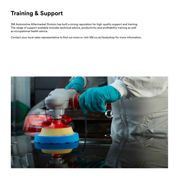# **Training & Support**

3M Automotive Aftermarket Division has built a strong reputation for high-quality support and training. The range of support available includes technical advice, productivity and profitability training as well as occupational health advice.

Contact your local sales representative to find out more or visit 3M.co.uk/bodyshop for more information.